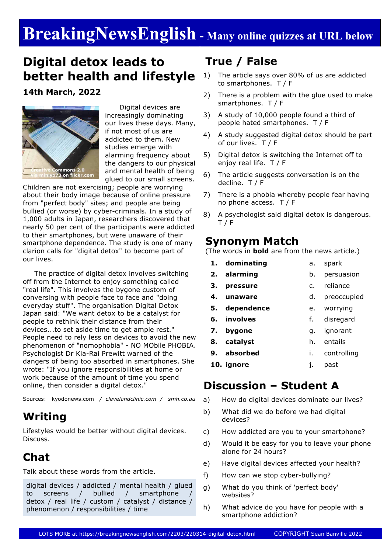# **BreakingNewsEnglish - Many online quizzes at URL below**

# **Digital detox leads to better health and lifestyle**

**14th March, 2022**



 Digital devices are increasingly dominating our lives these days. Many, if not most of us are addicted to them. New studies emerge with alarming frequency about the dangers to our physical and mental health of being glued to our small screens.

Children are not exercising; people are worrying about their body image because of online pressure from "perfect body" sites; and people are being bullied (or worse) by cyber-criminals. In a study of 1,000 adults in Japan, researchers discovered that nearly 50 per cent of the participants were addicted to their smartphones, but were unaware of their smartphone dependence. The study is one of many clarion calls for "digital detox" to become part of our lives.

 The practice of digital detox involves switching off from the Internet to enjoy something called "real life". This involves the bygone custom of conversing with people face to face and "doing everyday stuff". The organisation Digital Detox Japan said: "We want detox to be a catalyst for people to rethink their distance from their devices...to set aside time to get ample rest." People need to rely less on devices to avoid the new phenomenon of "nomophobia" - NO MObile PHOBIA. Psychologist Dr Kia-Rai Prewitt warned of the dangers of being too absorbed in smartphones. She wrote: "If you ignore responsibilities at home or work because of the amount of time you spend online, then consider a digital detox."

Sources: kyodonews.com */ clevelandclinic.com / smh.co.au*

### **Writing**

Lifestyles would be better without digital devices. Discuss.

# **Chat**

Talk about these words from the article.

digital devices / addicted / mental health / glued to screens / bullied / smartphone detox / real life / custom / catalyst / distance / phenomenon / responsibilities / time

### **True / False**

- 1) The article says over 80% of us are addicted to smartphones. T / F
- 2) There is a problem with the glue used to make smartphones. T / F
- 3) A study of 10,000 people found a third of people hated smartphones. T / F
- 4) A study suggested digital detox should be part of our lives. T / F
- 5) Digital detox is switching the Internet off to enjoy real life. T / F
- 6) The article suggests conversation is on the decline. T / F
- 7) There is a phobia whereby people fear having no phone access. T / F
- 8) A psychologist said digital detox is dangerous. T / F

### **Synonym Match**

(The words in **bold** are from the news article.)

- **1. dominating 2. alarming 3. pressure** a. spark b. persuasion c. reliance
- **4. unaware** d. preoccupied
- **5. dependence**

**6. involves**

f. disregard

e. worrying

- **7. bygone** g. ignorant
- **8. catalyst** h. entails
- **9. absorbed** i. controlling
- **10. ignore** j. past

### **Discussion – Student A**

- a) How do digital devices dominate our lives?
- b) What did we do before we had digital devices?
- c) How addicted are you to your smartphone?
- d) Would it be easy for you to leave your phone alone for 24 hours?
- e) Have digital devices affected your health?
- f) How can we stop cyber-bullying?
- g) What do you think of 'perfect body' websites?
- h) What advice do you have for people with a smartphone addiction?